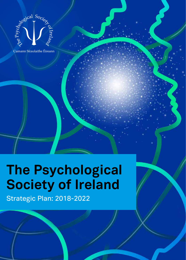

Cumann Síceolaithe Éireann

# **The Psychological Society of Ireland**

Strategic Plan: 2018-2022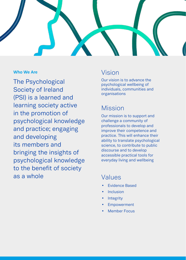

### **Who We Are**

The Psychological Society of Ireland (PSI) is a learned and learning society active in the promotion of psychological knowledge and practice; engaging and developing its members and bringing the insights of psychological knowledge to the benefit of society as a whole

# Vision

Our vision is to advance the psychological wellbeing of individuals, communities and organisations

# Mission

Our mission is to support and challenge a community of professionals to develop and improve their competence and practice. This will enhance their ability to translate psychological science, to contribute to public discourse and to develop accessible practical tools for everyday living and wellbeing

# Values

- **Fvidence Based**
- **Inclusion**
- **Integrity**
- **Empowerment**
- **Member Focus**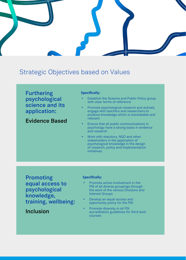# Strategic Objectives based on Values

**Furthering psychological science and its application:**

**Evidence Based**

#### **Specifically:**

- **Establish the Science and Public Policy group** with clear terms of reference
- Promote psychological research and actively engage with teachers and researchers to produce knowledge which is translatable and relevant
- Ensure that all public communications in psychology have a strong basis in evidence and research
- Work with statutory, NGO and other stakeholders in the application of psychological knowledge in the design of research, policy and implementation initiatives

**Promoting equal access to psychological knowledge, training, wellbeing:** 

**Inclusion**

#### **Specifically:**

- Promote active involvement in the PSI of all diverse groupings through the work of the various Divisions and Interest Groups
- Develop an equal access and opportunity policy for the PSI
- Promote diversity in all PSI accreditation guidelines for third level courses